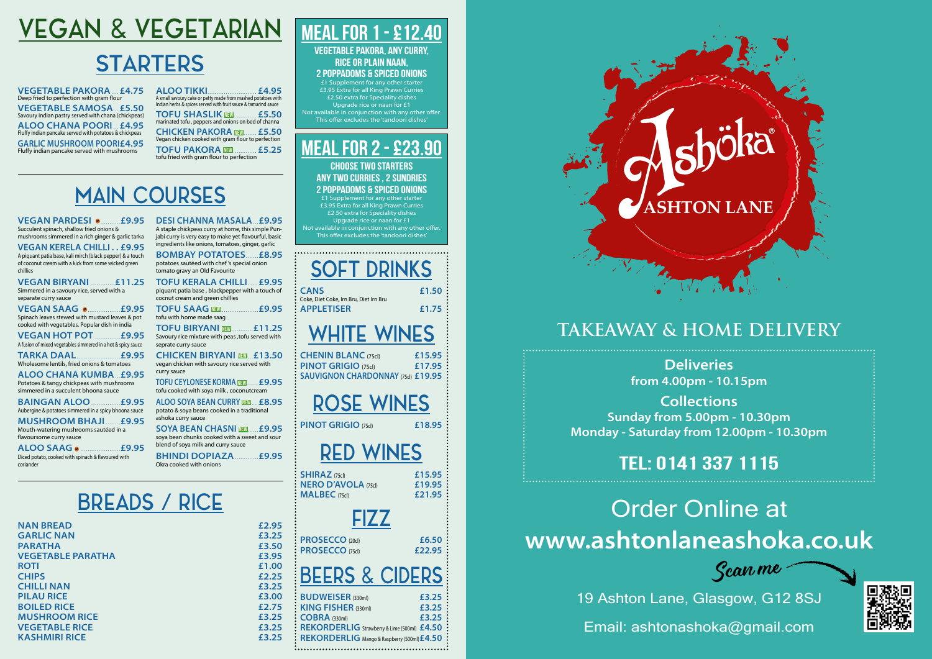## **ASHTON LANE**

| eries               |
|---------------------|
| 1 <b>-10.15pm</b>   |
| tions               |
| 0pm - 10.30pm       |
| n 12.00pm - 10.30pm |
|                     |
| 337 1115            |

'Scan me



# VEGAN & VEGETARIAN

# **STARTERS**

**VEGETABLE PAKORA ... £4.75** Deep fried to perfection with gram flour **VEGETABLE SAMOSA... £5.50** Savoury indian pastry served with chana (chickpeas) **ALOO CHANA POORI ... £4.95** Fluffy indian pancake served with potatoes & chickpeas **GARLIC MUSHROOM POORI£4.95** Fluffy indian pancake served with mushrooms

**VEGAN PARDESI • ........ £9.95** Succulent spinach, shallow fried onions & mushrooms simmered in a rich ginger & garlic tarka

**ALOO TIKKI . . . . . . . . . . . . . . . . . . . . . . . . . . . £4.95** A small savoury cake or patty made from mashed potatoes with Indian herbs & spices served with fruit sauce & tamarind sauce **TOFU SHASLIK NEW . . . . . . . . . . . . £5.50** marinated tofu , peppers and onions on bed of channa **CHICKEN PAKORA**  $\text{min}$ **...... £5.50** Vegan chicken cooked with gram flour to perfection

**VEGAN BIRYANI ............£11.25** Simmered in a savoury rice, served with a separate curry sauce

**VEGAN HOT POT .............. £9.95** A fusion of mixed vegetables simmered in a hot & spicy sauce

**TOFU PAKORA NEW . . . . . . . . . . . . . £5.25** tofu fried with gram flour to perfection

**ALOO CHANA KUMBA £9.95** Potatoes & tangy chickpeas with mushrooms simmered in a succulent bhoona sauce

# MAIN COURSES

**MUSHROOM BHAJI ........ £9.95** Mouth-watering mushrooms sautéed in a flavoursome curry sauce

**VEGAN KERELA CHILLI . . £9.95** A piquant patia base, kali mirch (black pepper) & a touch of coconut cream with a kick from some wicked green chillies

**BOMBAY POTATOES ....... £8.95** potatoes sautéed with chef 's special onion tomato gravy an Old Favourite

**TOFU KERALA CHILLI ..... £9.95** piquant patia base , blackpepper with a touch of cocnut cream and green chillies

**TOFU BIRYANI <b>INGEWITH**  $f(11.25)$ Savoury rice mixture with peas ,tofu served with seprate curry sauce

**VEGAN SAAG M..................£9.95** Spinach leaves stewed with mustard leaves & pot cooked with vegetables. Popular dish in india

> **TOFU CEYLONESE KORMA <b>NEW** . £9.95 tofu cooked with soya milk , coconutcream

> **ALOO SOYA BEAN CURRY <b>NEW** £8.95 potato & soya beans cooked in a traditional ashoka curry sauce

> **SOYA BEAN CHASNI <b>NEW** £9.95 soya bean chunks cooked with a sweet and sour blend of soya milk and curry sauce **BHINDI DOPIAZA £9.95**

**TARKA DAAL........................£9.95** Wholesome lentils, fried onions & tomatoes

**NAN BREAD £2.95 GARLIC NAN £3.25 PARATHA £3.50 VEGETABLE PARATHA £3.95 ROTI £1.00 CHIPS £2.25 CHILLI NAN £3.25 PILAU RICE £3.00 BOILED RICE** *£2.75* **MUSHROOM RICE £3.25 VEGETABLE RICE 2.25**<br>**KASHMIRI RICE 2.35 KASHMIRI RICE** 

**BAINGAN ALOO . . . . . . . . . . . . . . . £9.95** Aubergine & potatoes simmered in a spicy bhoona sauce

**ALOO SAAG M . . . . . . . . . . . . . . . . . . . . . £9.95** Diced potato, cooked with spinach & flavoured with coriander

**DESI CHANNA MASALA . . £9.95** A staple chickpeas curry at home, this simple Punjabi curry is very easy to make yet flavourful, basic ingredients like onions, tomatoes, ginger, garlic

> **Delive from 4.00pm - 10.15pm**

**Collections Sunday from 5.0 Monday - Saturday from** 

**TOFU SAAG NEW . . . . . . . . . . . . . . . . . . . . £9.95** tofu with home made saag

**CHICKEN BIRYANI NEW . . £13.50** vegan chicken with savoury rice served with curry sauce

Okra cooked with onions

## BREADS / RICE

SOFT DRINKS

**CANS £1.50** Coke, Diet Coke, Irn Bru, Diet Irn Bru **APPLETISER £1.75**

# WHITE WINES

**CHENIN BLANC** (75cl) **£15.95 PINOT GRIGIO** (75cl) **£17.95 SAUVIGNON CHARDONNAY** (75cl) **£19.95**

RED WINES

**SHIRAZ** (75cl) **£15.95 NERO D'AVOLA** (75cl) **£19.95 MALBEC** (75cl) **£21.95**

<u>FIZZ</u>

**PROSECCO** (20cl) **£6.50 PROSECCO** (75cl) **£22.95**

BEERS & CIDERS

| ட  |                                               |       |
|----|-----------------------------------------------|-------|
| )0 | : BUDWEISER (330ml)                           | £3.25 |
| 75 | : KING FISHER (330ml)                         | £3.25 |
| 25 | $\therefore$ COBRA (330ml)                    | £3.25 |
| 25 | : REKORDERLIG Strawberry & Lime (500ml) £4.50 |       |
| 25 | : REKORDERLIG Mango & Raspberry (500ml) £4.50 |       |
|    |                                               |       |

ROSE WINES

**PINOT GRIGIO** (75cl) **£18.95**

## **MEAL FOR 1 - £12.40 Vegetable Pakora, Any Curry,**

### **Rice or Plain Naan, 2 Poppadoms & Spiced Onions**

£1 Supplement for any other starter £3.95 Extra for all King Prawn Curries £2.50 extra for Speciality dishes Upgrade rice or naan for £1 Not available in conjunction with any other offer. This offer excludes the 'tandoori dishes'

## **MEAL FOR 2 - £23.90**

**Choose Two Starters Any Two curries , 2 Sundries 2 Poppadoms & Spiced Onions**

£1 Supplement for any other starter £3.95 Extra for all King Prawn Curries £2.50 extra for Speciality dishes Upgrade rice or naan for £1 ble in conjunction with any other offe This offer excludes the 'tandoori dishes'

## **TEL: 0141 337 1115**

19 Ashton Lane, Glasgow, G12 8SJ

Email: ashtonashoka@gmail.com

# Order Online at **www.ashtonlaneashoka.co.uk**

## **Takeaway & Home Delivery**